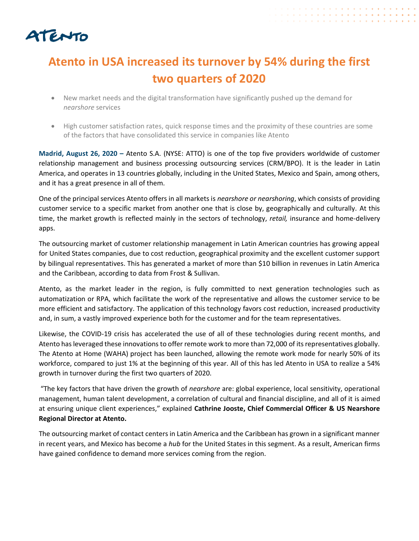

## **Atento in USA increased its turnover by 54% during the first two quarters of 2020**

+ + + + + + + + + + + + + + . . . . . . . . . . . . . . . . . .

- New market needs and the digital transformation have significantly pushed up the demand for *nearshore* services
- High customer satisfaction rates, quick response times and the proximity of these countries are some of the factors that have consolidated this service in companies like Atento

**Madrid, August 26, 2020 –** Atento S.A. (NYSE: ATTO) is one of the top five providers worldwide of customer relationship management and business processing outsourcing services (CRM/BPO). It is the leader in Latin America, and operates in 13 countries globally, including in the United States, Mexico and Spain, among others, and it has a great presence in all of them.

One of the principal services Atento offers in all markets is *nearshore or nearshoring*, which consists of providing customer service to a specific market from another one that is close by, geographically and culturally. At this time, the market growth is reflected mainly in the sectors of technology, *retail,* insurance and home-delivery apps.

The outsourcing market of customer relationship management in Latin American countries has growing appeal for United States companies, due to cost reduction, geographical proximity and the excellent customer support by bilingual representatives. This has generated a market of more than \$10 billion in revenues in Latin America and the Caribbean, according to data from Frost & Sullivan.

Atento, as the market leader in the region, is fully committed to next generation technologies such as automatization or RPA, which facilitate the work of the representative and allows the customer service to be more efficient and satisfactory. The application of this technology favors cost reduction, increased productivity and, in sum, a vastly improved experience both for the customer and for the team representatives.

Likewise, the COVID-19 crisis has accelerated the use of all of these technologies during recent months, and Atento has leveraged these innovations to offer remote work to more than 72,000 of itsrepresentatives globally. The Atento at Home (WAHA) project has been launched, allowing the remote work mode for nearly 50% of its workforce, compared to just 1% at the beginning of this year. All of this has led Atento in USA to realize a 54% growth in turnover during the first two quarters of 2020.

"The key factors that have driven the growth of *nearshore* are: global experience, local sensitivity, operational management, human talent development, a correlation of cultural and financial discipline, and all of it is aimed at ensuring unique client experiences," explained **Cathrine Jooste, Chief Commercial Officer & US Nearshore Regional Director at Atento.**

The outsourcing market of contact centers in Latin America and the Caribbean has grown in a significant manner in recent years, and Mexico has become a *hub* for the United States in this segment. As a result, American firms have gained confidence to demand more services coming from the region.